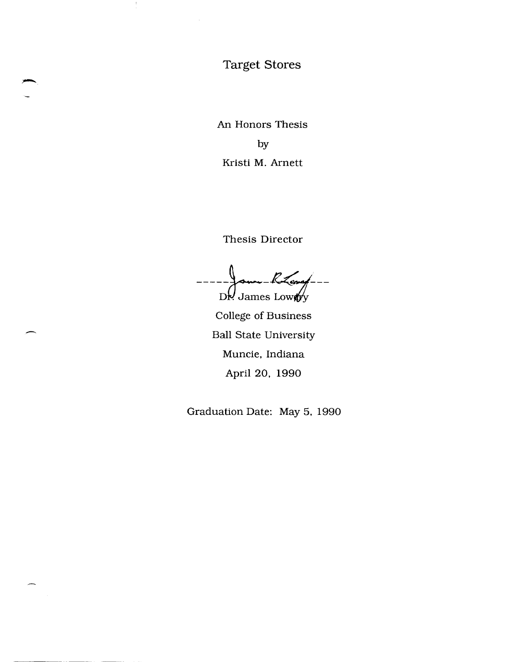# Target Stores

÷

An Honors Thesis by Kristi M. Arnett

Thesis Director

R Levef  $D'$ Vames Lowery

College of Business Ball State University Muncie, Indiana April 20, 1990

Graduation Date: May 5, 1990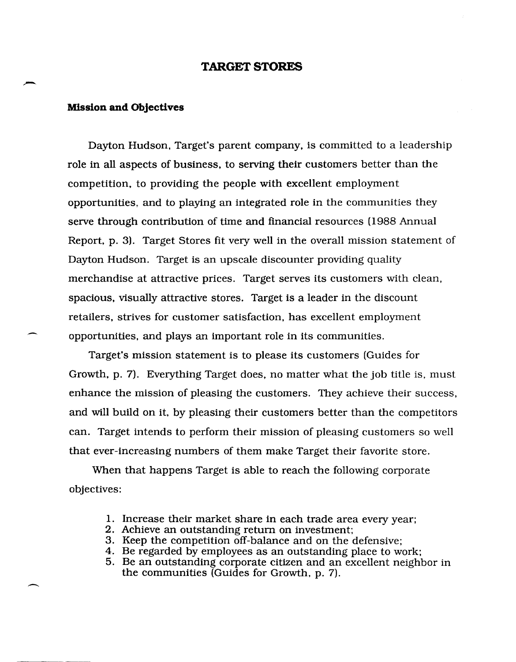### **TARGET STORES**

### **Mission and Objectives**

 $\overline{\phantom{0}}$ 

Dayton Hudson, Target's parent company, is committed to a leadership role in all aspects of business, to serving their customers better than the competition, to providing the people with excellent employment opportunities, and to playing an integrated role in the communities they serve through contribution of time and financial resources (1988 Annual Report, p. 3). Target Stores fit very well in the overall mission statement of Dayton Hudson. Target is an upscale discounter providing quality merchandise at attractive prices. Target serves its customers with clean, spacious, visually attractive stores. Target is a leader in the discount retailers, strives for customer satisfaction, has excellent employment opportunities, and plays an important role in its communities.

Target's mission statement is to please its customers (Guides for Growth, p. 7). Everything Target does, no matter what the job title is, must enhance the mission of pleasing the customers. They achieve their success, and will build on it, by pleasing their customers better than the competitors can. Target intends to perform their mission of pleasing customers so well that ever-increasing numbers of them make Target their favorite store.

When that happens Target is able to reach the following corporate objectives:

- 1. Increase their market share in each trade area every year;
- 2. Achieve an outstanding return on investment;
- 3. Keep the competition off-balance and on the defensive;
- 4. Be regarded by employees as an outstanding place to work;
- 5. Be an outstanding corporate citizen and an excellent neighbor in the communities (Guides for Growth, p. 7).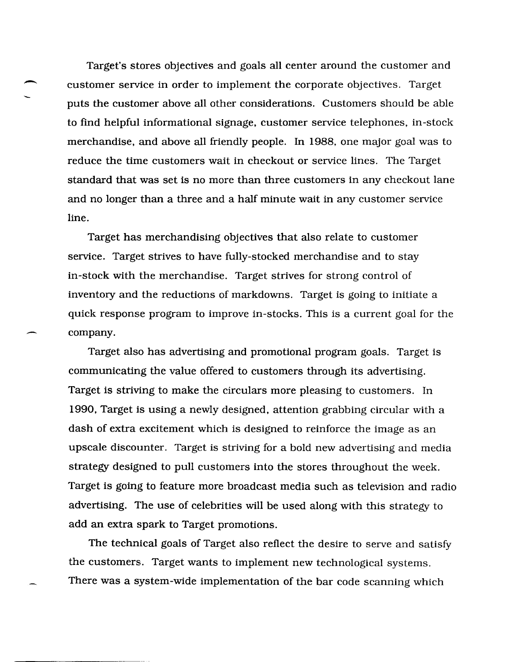Target's stores objectives and goals all center around the customer and<br>customer service in order to implement the corporate objectives. Target customer service in order to implement the corporate objectives. Target puts the customer above all other considerations. Customers should be able to find helpful informational signage, customer service telephones, in-stock merchandise, and above all friendly people. In 1988, one major goal was to reduce the time customers wait in checkout or service lines. The Target standard that was set is no more than three customers in any checkout lane and no longer than a three and a half minute wait in any customer service line.

Target has merchandising objectives that also relate to customer service. Target strives to have fully-stocked merchandise and to stay in-stock with the merchandise. Target strives for strong control of inventory and the reductions of markdowns. Target is going to initiate a quick response program to improve in-stocks. This is a current goal for the company.

Target also has advertising and promotional program goals. Target is communicating the value offered to customers through its advertising. Target is striving to make the circulars more pleasing to customers. In 1990, Target is using a newly designed, attention grabbing circular with a dash of extra excitement which is designed to reinforce the image as an upscale discounter. Target is striving for a bold new advertising and media strategy designed to pull customers into the stores throughout the week. Target is going to feature more broadcast media such as television and radio advertising. The use of celebrities will be used along with this strategy to add an extra spark to Target promotions.

The technical goals of Target also reflect the desire to serve and satisfy the customers. Target wants to implement new technological systems. There was a system-wide implementation of the bar code scanning which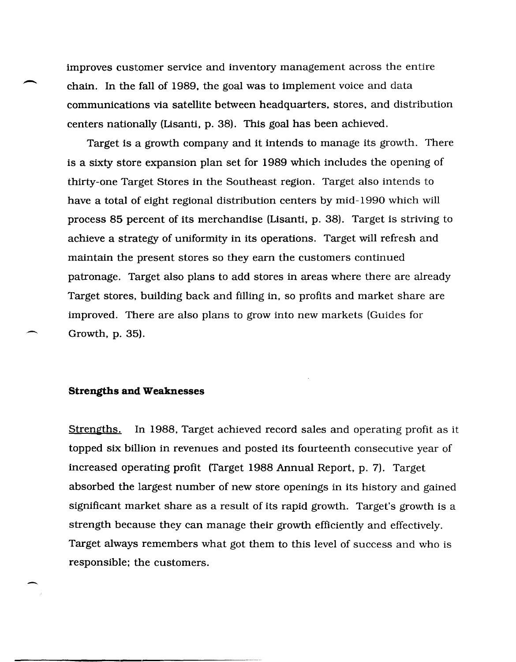improves customer service and inventory management across the entire chain. In the fall of 1989, the goal was to implement voice and data communications via satellite between headquarters, stores, and distribution centers nationally (Lisanti, p. 38). This goal has been achieved.

Target is a growth company and it intends to manage its growth. There is a sixty store expansion plan set for 1989 which includes the opening of thirty-one Target Stores in the Southeast region. Target also intends to have a total of eight regional distribution centers by mid-1990 which will process 85 percent of its merchandise (Lisanti, p. 38). Target is striving to achieve a strategy of uniformity in its operations. Target will refresh and maintain the present stores so they earn the customers continued patronage. Target also plans to add stores in areas where there are already Target stores, building back and filling in, so profits and market share are improved. There are also plans to grow into new markets (Guides for Growth, p. 35).

#### **Strengths and Weaknesses**

-

 $\overline{\phantom{0}}$ 

-

Strengths. In 1988, Target achieved record sales and operating profit as it topped six billion in revenues and posted its fourteenth consecutive year of increased operating profit (Target 1988 Annual Report, p. 7). Target absorbed the largest number of new store openings in its history and gained significant market share as a result of its rapid growth. Target's growth is a strength because they can manage their growth efficiently and effectively. Target always remembers what got them to this level of success and who is responsible; the customers.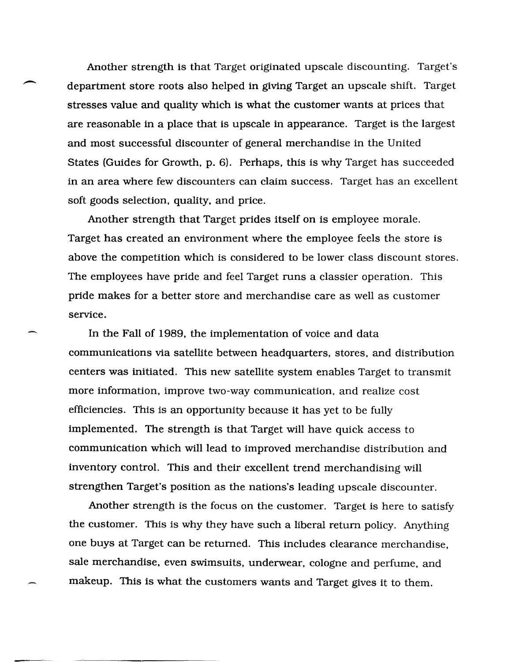Another strength is that Target originated upscale discounting. Target's department store roots also helped in giving Target an upscale shift. Target stresses value and quality which is what the customer wants at prices that are reasonable in a place that is upscale in appearance. Target is the largest and most successful discounter of general merchandise in the United States (Guides for Growth, p. 6). Perhaps, this is why Target has succeeded in an area where few discounters can claim success. Target has an excellent soft goods selection, quality, and price.

.-.

Another strength that Target prides itself on is employee morale. Target has created an environment where the employee feels the store is above the competition which is considered to be lower class discount stores. The employees have pride and feel Target runs a classier operation. This pride makes for a better store and merchandise care as well as customer service.

In the Fall of 1989, the implementation of voice and data communications via satellite between headquarters, stores, and distribution centers was initiated. This new satellite system enables Target to transmit more information, improve two-way communication, and realize cost efficiencies. This is an opportunity because it has yet to be fully implemented. The strength is that Target will have quick access to communication which will lead to improved merchandise distribution and inventory control. This and their excellent trend merchandising will strengthen Target's position as the nations's leading upscale discounter.

Another strength is the focus on the customer. Target is here to satisfy the customer. This is why they have such a liberal return policy. Anything one buys at Target can be returned. This includes clearance merchandise, sale merchandise, even swimsuits, underwear, cologne and perfume, and makeup. This is what the customers wants and Target gives it to them.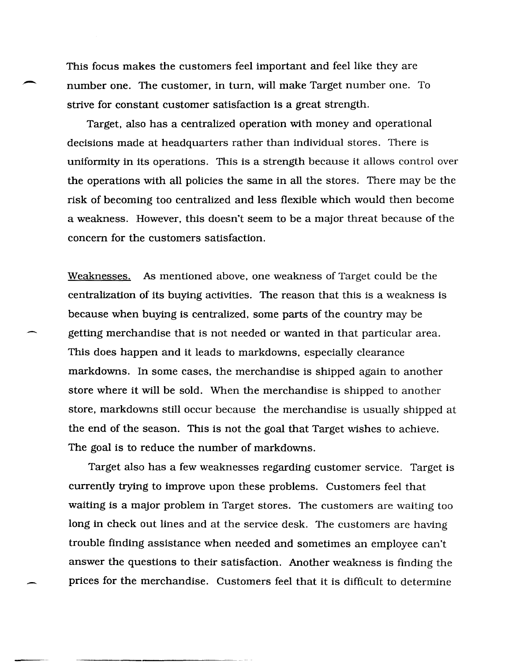This focus makes the customers feel important and feel like they are number one. The customer, in turn, will make Target number one. To strive for constant customer satisfaction is a great strength.

Target, also has a centralized operation with money and operational decisions made at headquarters rather than individual stores. There is uniformity in its operations. This is a strength because it allows control over the operations with all policies the same in all the stores. There may be the risk of becoming too centralized and less flexible which would then become a weakness. However, this doesn't seem to be a major threat because of the concern for the customers satisfaction.

Weaknesses. As mentioned above, one weakness of Target could be the centralization of its buying activities. The reason that this is a weakness is because when buying is centralized, some parts of the country may be getting merchandise that is not needed or wanted in that particular area. This does happen and it leads to markdowns, especially clearance markdowns. In some cases, the merchandise is shipped again to another store where it will be sold. When the merchandise is shipped to another store, markdowns still occur because the merchandise is usually shipped at the end of the season. This is not the goal that Target wishes to achieve. The goal is to reduce the number of markdowns.

Target also has a few weaknesses regarding customer service. Target is currently trying to improve upon these problems. Customers feel that waiting is a major problem in Target stores. The customers are waiting too long in check out lines and at the service desk. The customers are having trouble finding assistance when needed and sometimes an employee can't answer the questions to their satisfaction. Another weakness is finding the prices for the merchandise. Customers feel that it is difficult to determine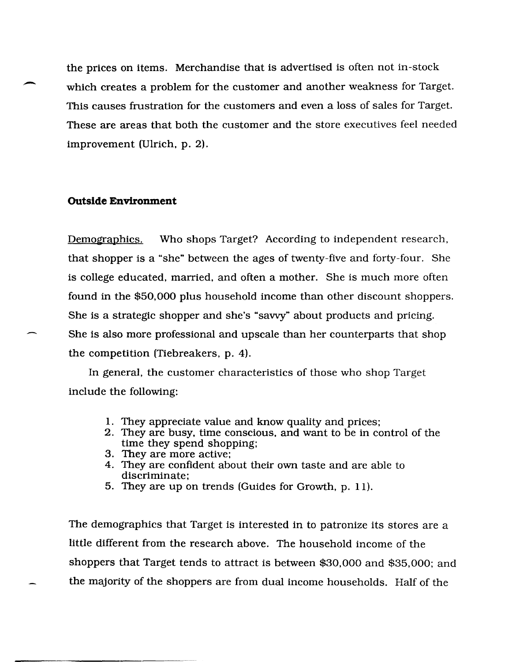the prices on items. Merchandise that is advertised is often not in-stock which creates a problem for the customer and another weakness for Target. This causes frustration for the customers and even a loss of sales for Target. These are areas that both the customer and the store executives feel needed improvement (Ulrich, p. 2).

## **Outside Environment**

Demographics. Who shops Target? According to independent research, that shopper is a "she" between the ages of twenty-five and forty-four. She is college educated, married, and often a mother. She is much more often found in the \$50,000 plus household income than other discount shoppers. She is a strategic shopper and she's "savvy" about products and pricing. She is also more professional and upscale than her counterparts that shop the competition (Tiebreakers, p. 4).

In general, the customer characteristics of those who shop Target include the following:

- 1. They appreciate value and know quality and prices;
- 2. They are busy, time conscious, and want to be in control of the time they spend shopping;
- 3. They are more active;
- 4. They are confident about their own taste and are able to discriminate;
- 5. They are up on trends (Guides for Growth, p. 11).

The demographics that Target is interested in to patronize its stores are a little different from the research above. The household income of the shoppers that Target tends to attract is between \$30,000 and \$35,000; and the majority of the shoppers are from dual income households. Half of the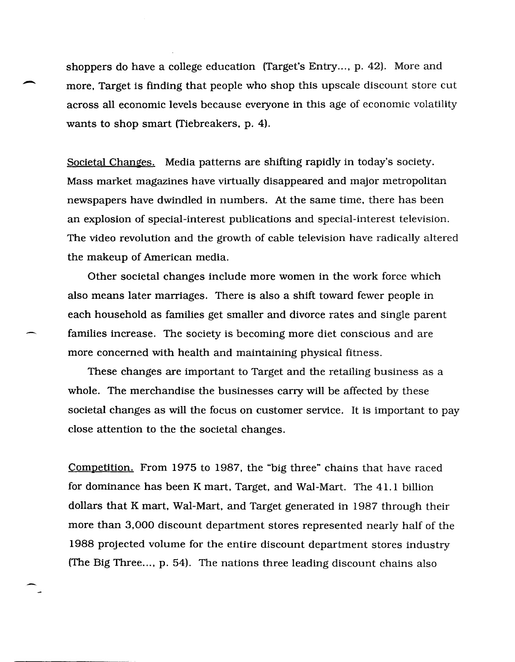shoppers do have a college education (Target's Entry..., p. 42). More and<br>more, Target is finding that people who shop this upscale discount store c more, Target is finding that people who shop this upscale discount store cut across all economic levels because everyone in this age of economic volatility wants to shop smart (Tiebreakers, p. 4).

Societal Changes. Media patterns are shifting rapidly in today's society. Mass market magazines have virtually disappeared and major metropolitan newspapers have dwindled in numbers. At the same time, there has been an explosion of special-interest publications and special-interest television. The video revolution and the growth of cable television have radically altered the makeup of American media.

Other societal changes include more women in the work force which also means later marriages. There is also a shift toward fewer people in each household as families get smaller and divorce rates and single parent families increase. The society is becoming more diet conscious and are more concerned with health and maintaining physical fitness.

These changes are important to Target and the retailing business as a whole. The merchandise the businesses carry will be affected by these societal changes as will the focus on customer service. It is important to pay close attention to the the societal changes.

Competition. From 1975 to 1987, the "big three" chains that have raced for dominance has been K mart, Target, and Wal-Mart. The 4l.1 billion dollars that K mart, Wal-Mart, and Target generated in 1987 through their more than 3,000 discount department stores represented nearly half of the 1988 projected volume for the entire discount department stores industry (The Big Three..., p. 54). The nations three leading discount chains also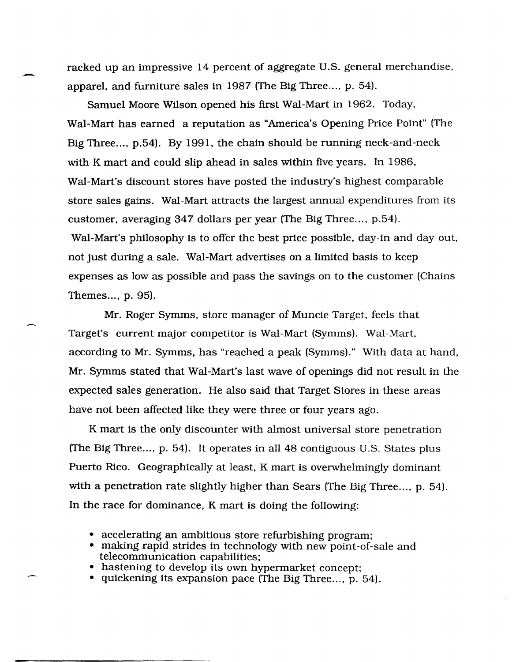racked up an impressive 14 percent of aggregate U.S. general merchandise, apparel, and furniture sales in 1987 (The Big Three..., p. 54).

Samuel Moore Wilson opened his first Wal-Mart in 1962. Today, Wal-Mart has earned a reputation as "America's Opening Price Point" (The Big Three..., p.54). By 1991, the chain should be running neck-and-neck with K mart and could slip ahead in sales within five years. In 1986, Wal-Mart's discount stores have posted the industry's highest comparable store sales gains. Wal-Mart attracts the largest annual expenditures from its customer, averaging 347 dollars per year (The Big Three..., p.54). Wal-Mart's philosophy is to offer the best price possible, day-in and day-out, not just during a sale. Wal-Mart advertises on a limited basis to keep expenses as low as possible and pass the savings on to the customer (Chains Themes..., p. 95).

Mr. Roger Symms, store manager of Muncie Target, feels that Target's current major competitor is Wal-Mart (Symms). Wal-Mart, according to Mr. Symms, has "reached a peak (Symms)." With data at hand, Mr. Symms stated that Wal-Mart's last wave of openings did not result in the expected sales generation. He also said that Target Stores in these areas have not been affected like they were three or four years ago.

K mart is the only discounter with almost universal store penetration (The Big Three..., p. 54). It operates in all 48 contiguous U.S. States plus Puerto Rico. Geographically at least, K mart is overwhelmingly dominant with a penetration rate slightly higher than Sears (The Big Three..., p. 54). In the race for dominance, K mart is doing the following:

- accelerating an ambitious store refurbishing program;
- making rapid strides in technology with new point-of-sale and telecommunication capabilities;
- hastening to develop its own hypermarket concept;
- quickening its expansion pace (The Big Three..., p. 54).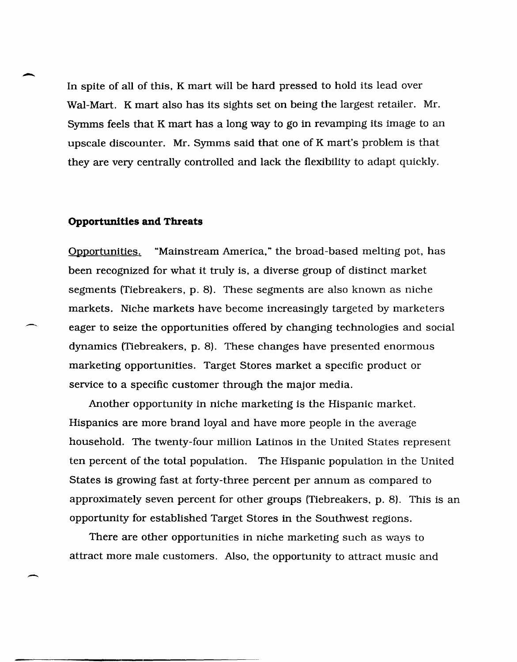In spite of all of this, K mart will be hard pressed to hold its lead over Wal-Mart. K mart also has its sights set on being the largest retailer. Mr. Symms feels that K mart has a long way to go in revamping its image to an upscale discounter. Mr. Symms said that one of K mart's problem is that they are very centrally controlled and lack the flexibility to adapt quickly.

#### **Opportunities and Threats**

-

 $\overline{\phantom{0}}$ 

Opportunities:. "Mainstream America," the broad-based melting pot, has been recognized for what it truly is, a diverse group of distinct market segments (Tiebreakers, p. 8). These segments are also known as niche markets. Niche markets have become increasingly targeted by marketers eager to seize the opportunities offered by changing technologies and social dynamics (Tiebreakers, p. 8). These changes have presented enormous marketing opportunities. Target Stores market a specific product or service to a specific customer through the major media.

Another opportunity in niche marketing is the Hispanic market. Hispanics are more brand loyal and have more people in the average household. The twenty-four million Latinos in the United States represent ten percent of the total population. The Hispanic population in the United States is growing fast at forty-three percent per annum as compared to approximately seven percent for other groups (Tiebreakers, p. 8). This is an opportunity for established Target Stores in the Southwest regions.

There are other opportunities in niche marketing such as ways to attract more male customers. Also, the opportunity to attract music and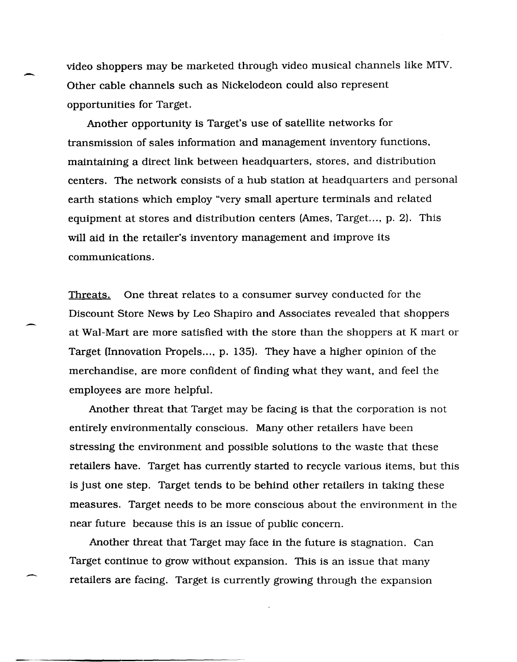video shoppers may be marketed through video musical channels like M1V. Other cable channels such as Nickelodeon could also represent opportunities for Target.

-

-

--

Another opportunity is Target's use of satellite networks for transmission of sales information and management inventory functions, maintaining a direct link between headquarters, stores, and distribution centers. The network consists of a hub station at headquarters and personal earth stations which employ "very small aperture terminals and related equipment at stores and distribution centers (Ames, Target..., p. 2). This will aid in the retailer's inventory management and improve its communications.

Threats. One threat relates to a consumer survey conducted for the Discount Store News by Leo Shapiro and Associates revealed that shoppers at Wal-Mart are more satisfied with the store than the shoppers at K mart or Target (Innovation Propels..., p. 135). They have a higher opinion of the merchandise, are more confident of finding what they want, and feel the employees are more helpful.

Another threat that Target may be facing is that the corporation is not entirely environmentally conscious. Many other retailers have been stressing the environment and possible solutions to the waste that these retailers have. Target has currently started to recycle various items, but this is just one step. Target tends to be behind other retailers in taking these measures. Target needs to be more conscious about the environment in the near future because this is an issue of public concern.

Another threat that Target may face in the future is stagnation. Can Target continue to grow without expansion. This is an issue that many retailers are facing. Target is currently growing through the expansion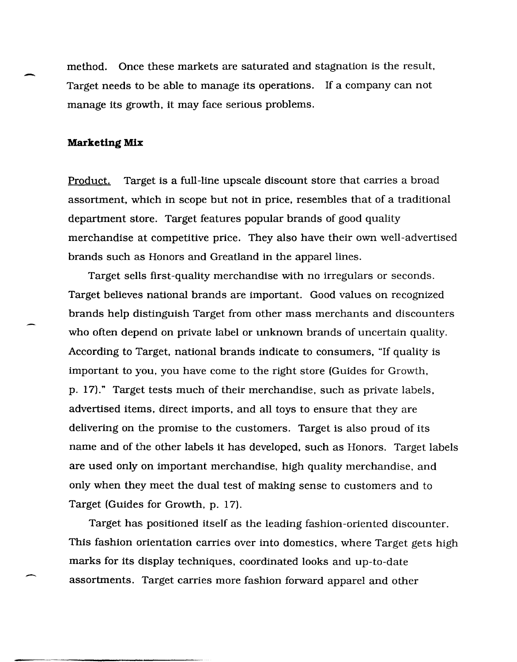method. Once these markets are saturated and stagnation is the result,<br>Target needs to be able to manage its operations. If a company can not manage its growth. it may face serious problems.

#### **Marketing Mix**

Product. Target is a full-line upscale discount store that carries a broad assortment, which in scope but not in price, resembles that of a traditional department store. Target features popular brands of good quality merchandise at competitive price. They also have their own well-advertised brands such as Honors and Greatland in the apparel lines.

Target sells first-quality merchandise with no irregulars or seconds. Target believes national brands are important. Good values on recognized brands help distinguish Target from other mass merchants and discounters who often depend on private label or unknown brands of uncertain quality. According to Target, national brands indicate to consumers, "If quality is important to you, you have come to the right store (Guides for Growth, p. 17)." Target tests much of their merchandise. such as private labels. advertised items, direct imports, and all toys to ensure that they are delivering on the promise to the customers. Target is also proud of its name and of the other labels it has developed, such as Honors. Target labels are used only on important merchandise, high quality merchandise, and only when they meet the dual test of making sense to customers and to Target (Guides for Growth. p. 17).

Target has positioned itself as the leading fashion-oriented discounter. This fashion orientation carries over into domestics, where Target gets high marks for its display techniques, coordinated looks and up-to-date assortments. Target carries more fashion forward apparel and other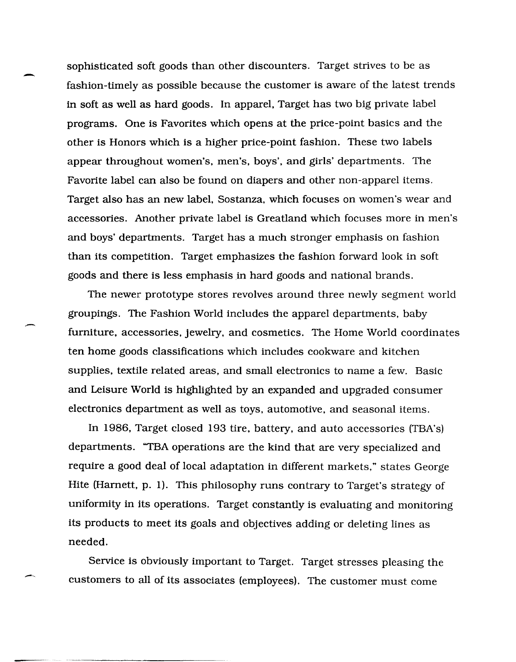sophisticated soft goods than other discounters. Target strives to be as fashion-timely as possible because the customer is aware of the latest trends in soft as well as hard goods. In apparel, Target has two big private label programs. One is Favorites which opens at the price-point basics and the other is Honors which is a higher price-point fashion. These two labels appear throughout women's, men's, boys', and girls' departments. The Favorite label can also be found on diapers and other non-apparel items. Target also has an new label, Sostanza, which focuses on women's wear and accessories. Another private label is Greatland which focuses more in men's and boys' departments. Target has a much stronger emphasis on fashion than its competition. Target emphasizes the fashion forward look in soft goods and there is less emphasis in hard goods and national brands.

-

--

---

The newer prototype stores revolves around three newly segment world groupings. The Fashion World includes the apparel departments, baby furniture, accessories, jewelry, and cosmetics. The Home World coordinates ten home goods classifications which includes cookware and kitchen supplies, textile related areas, and small electronics to name a few. Basic and Leisure World is highlighted by an expanded and upgraded consumer electronics department as well as toys, automotive, and seasonal items.

In 1986, Target closed 193 tire, battery, and auto accessories (TBA's) departments. "TBA operations are the kind that are very specialized and require a good deal of local adaptation in different markets," states George Hite (Harnett, p. 1). This philosophy runs contrary to Target's strategy of uniformity in its operations. Target constantly is evaluating and monitoring its products to meet its goals and objectives adding or deleting lines as needed.

Service is obviously important to Target. Target stresses pleasing the customers to all of its associates (employees). The customer must come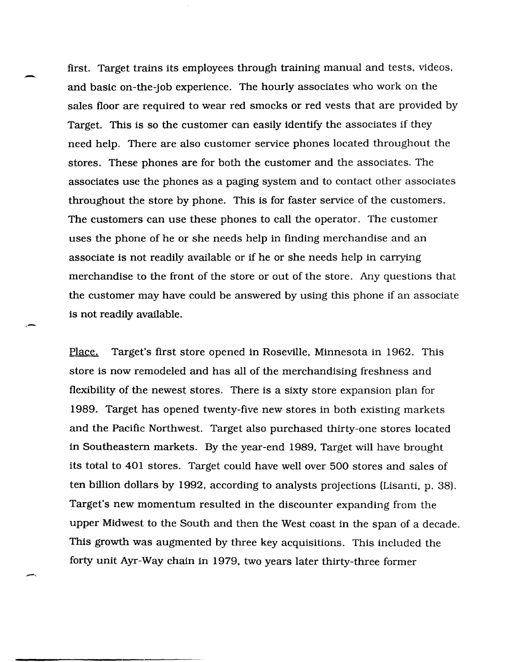first. Target trains its employees through training manual and tests, videos, and basic on-the-job experience. The hourly associates who work on the sales floor are required to wear red smocks or red vests that are provided by Target. This is so the customer can easily identify the associates if they need help. There are also customer service phones located throughout the stores. These phones are for both the customer and the associates. The associates use the phones as a paging system and to contact other associates throughout the store by phone. This is for faster service of the customers. The customers can use these phones to call the operator. The customer uses the phone of he or she needs help in finding merchandise and an associate is not readily available or if he or she needs help in carrying merchandise to the front of the store or out of the store. Any questions that the customer may have could be answered by using this phone if an associate is not readily available.

-

,-

Place. Target's first store opened in Roseville, Minnesota in 1962. This store is now remodeled and has all of the merchandising freshness and flexibility of the newest stores. There is a sixty store expansion plan for 1989. Target has opened twenty-five new stores in both existing markets and the Pacific Northwest. Target also purchased thirty-one stores located in Southeastern markets. By the year-end 1989, Target will have brought its total to 401 stores. Target could have well over 500 stores and sales of ten billion dollars by 1992, according to analysts projections (Lisanti, p. 38). Target's new momentum resulted in the discounter expanding from the upper Midwest to the South and then the West coast in the span of a decade. This growth was augmented by three key acquisitions. This included the forty unit Ayr-Way chain in 1979, two years later thirty-three former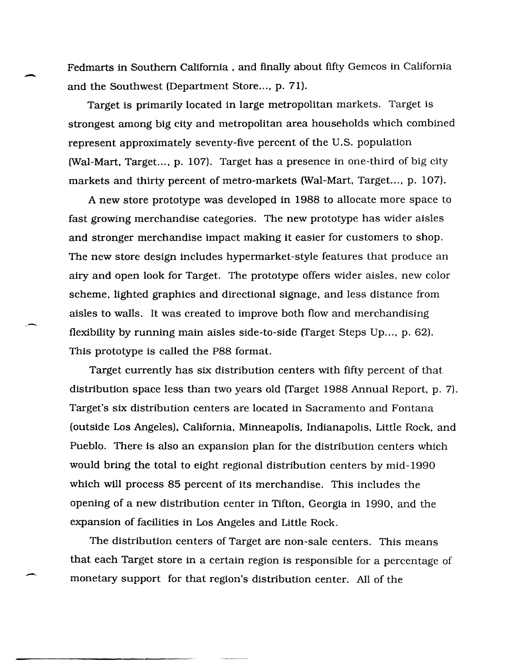Fedmarts in Southern California. and finally about fifty Gemcos in California and the Southwest (Department Store..., p. 71).

-

,-

.-

Target is primarily located in large metropolitan markets. Target is strongest among big city and metropolitan area households which combined represent approximately seventy-five percent of the U.S. population (Wal-Mart, Target..., p. 107). Target has a presence in one-third of big city markets and thirty percent of metro-markets (Wal-Mart, Target..., p. 107).

A new store prototype was developed in 1988 to allocate more space to fast growing merchandise categories. The new prototype has wider aisles and stronger merchandise impact making it easier for customers to shop. The new store design includes hypermarket-style features that produce an airy and open look for Target. The prototype offers wider aisles. new color scheme. lighted graphics and directional signage. and less distance from aisles to walls. It was created to improve both flow and merchandising flexibility by running main aisles side-to-side (Target Steps Up..., p. 62). This prototype is called the P88 format.

Target currently has six distribution centers with fifty percent of that distribution space less than two years old (Target 1988 Annual Report, p. 7). Target's six distribution centers are located in Sacramento and Fontana (outside Los Angeles). California. Minneapolis. Indianapolis. Little Rock. and Pueblo. There is also an expansion plan for the distribution centers which would bring the total to eight regional distribution centers by mid-1990 which will process 85 percent of its merchandise. This includes the opening of a new distribution center in Tifton. Georgia in 1990. and the expansion of facilities in Los Angeles and Little Rock.

The distribution centers of Target are non-sale centers. This means that each Target store in a certain region is responsible for a percentage of monetary support for that region's distribution center. All of the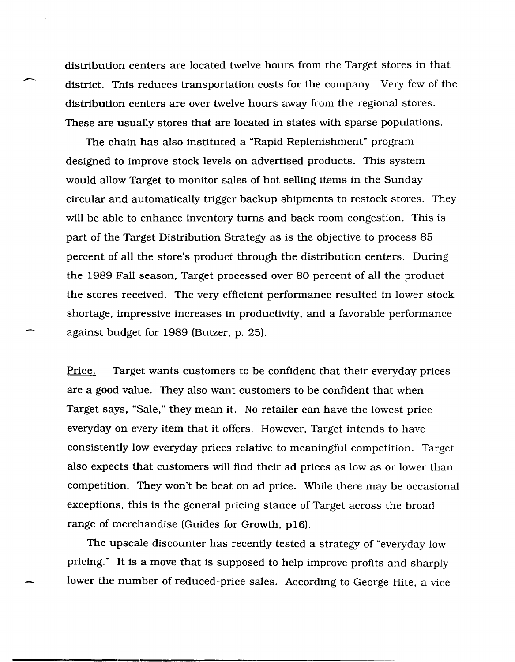distribution centers are located twelve hours from the Target stores in that district. This reduces transportation costs for the company. Very few of the distribution centers are over twelve hours away from the regional stores. These are usually stores that are located in states with sparse populations.

The chain has also instituted a "Rapid Replenishment" program designed to improve stock levels on advertised products. This system would allow Target to monitor sales of hot selling items in the Sunday circular and automatically trigger backup shipments to restock stores. They will be able to enhance inventory turns and back room congestion. This is part of the Target Distribution Strategy as is the objective to process 85 percent of all the store's product through the distribution centers. During the 1989 Fall season, Target processed over 80 percent of all the product the stores received. The very efficient performance resulted in lower stock shortage, impressive increases in productivity, and a favorable performance against budget for 1989 (Butzer, p. 25).

Price. Target wants customers to be confident that their everyday prices are a good value. They also want customers to be confident that when Target says, "Sale," they mean it. No retailer can have the lowest price everyday on every item that it offers. However, Target intends to have consistently low everyday prices relative to meaningful competition. Target also expects that customers will find their ad prices as low as or lower than competition. They won't be beat on ad price. While there may be occasional exceptions, this is the general pricing stance of Target across the broad range of merchandise (Guides for Growth, p16).

The upscale discounter has recently tested a strategy of "everyday low pricing." It is a move that is supposed to help improve profits and sharply lower the number of reduced-price sales. According to George Hite, a vice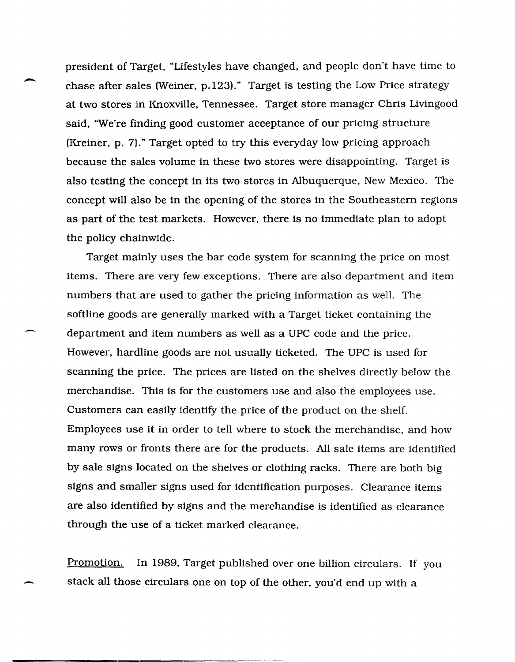president of Target, "Lifestyles have changed, and people don't have time to chase after sales (Weiner, p.123)." Target is testing the Low Price strategy at two stores in Knoxville, Tennessee. Target store manager Chris Livingood said, "We're finding good customer acceptance of our pricing structure (Kreiner, p. 7)." Target opted to try this everyday low pricing approach because the sales volume in these two stores were disappointing. Target is also testing the concept in its two stores in Albuquerque, New Mexico. The concept will also be in the opening of the stores in the Southeastern regions as part of the test markets. However, there is no immediate plan to adopt the policy chainwide.

Target mainly uses the bar code system for scanning the price on most items. There are very few exceptions. There are also department and item numbers that are used to gather the pricing information as well. The softline goods are generally marked with a Target ticket containing the department and item numbers as well as a UPC code and the price. However, hardline goods are not usually ticketed. The UPC is used for scanning the price. The prices are listed on the shelves directly below the merchandise. This is for the customers use and also the employees use. Customers can easily identify the price of the product on the shelf. Employees use it in order to tell where to stock the merchandise, and how many rows or fronts there are for the products. All sale items are identified by sale signs located on the shelves or clothing racks. There are both big signs and smaller signs used for identification purposes. Clearance items are also identified by signs and the merchandise is identified as clearance through the use of a ticket marked clearance.

Promotion. In 1989, Target published over one billion circulars. If you stack all those circulars one on top of the other, you'd end up with a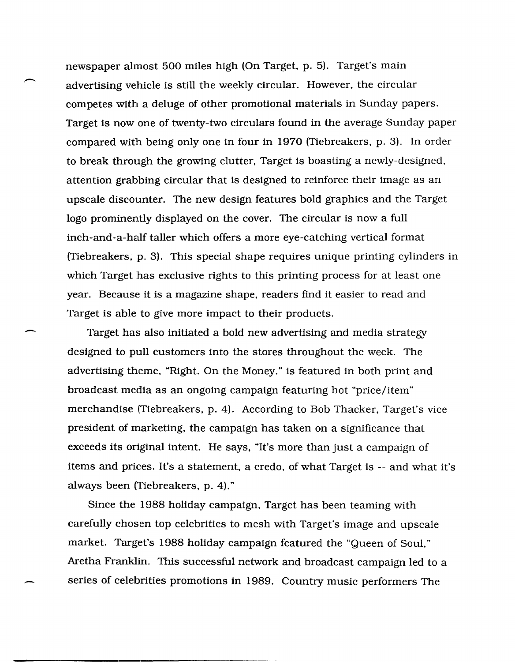newspaper ahnost 500 miles high (On Target, p. 5). Target's main advertising vehicle is still the weekly circular. However, the circular competes with a deluge of other promotional materials in Sunday papers. Target is now one of twenty-two circulars found in the average Sunday paper compared with being only one in four in 1970 (Tiebreakers, p. 3). In order to break through the growing clutter, Target is boasting a newly-designed. attention grabbing circular that is designed to reinforce their image as an upscale discounter. The new design features bold graphics and the Target logo prominently displayed on the cover. The circular is now a full inch-and-a-half taller which offers a more eye-catching vertical format (Tiebreakers, p. 3). This special shape requires unique printing cylinders in which Target has exclusive rights to this printing process for at least one year. Because it is a magazine shape, readers find it easier to read and Target is able to give more impact to their products.

--

-

Target has also initiated a bold new advertising and media strategy designed to pull customers into the stores throughout the week. The advertising theme, "Right. On the Money." is featured in both print and broadcast media as an ongoing campaign featuring hot "price/item" merchandise (Tiebreakers, p. 4). According to Bob Thacker. Target's vice president of marketing, the campaign has taken on a significance that exceeds its original intent. He says, "It's more than just a campaign of items and prices. It's a statement, a credo, of what Target is -- and what it's always been (Tiebreakers, p. 4)."

Since the 1988 holiday campaign, Target has been teaming with carefully chosen top celebrities to mesh with Target's image and upscale market. Target's 1988 holiday campaign featured the "Queen of Soul," Aretha Franklin. This successful network and broadcast campaign led to a series of celebrities promotions in 1989. Country music performers The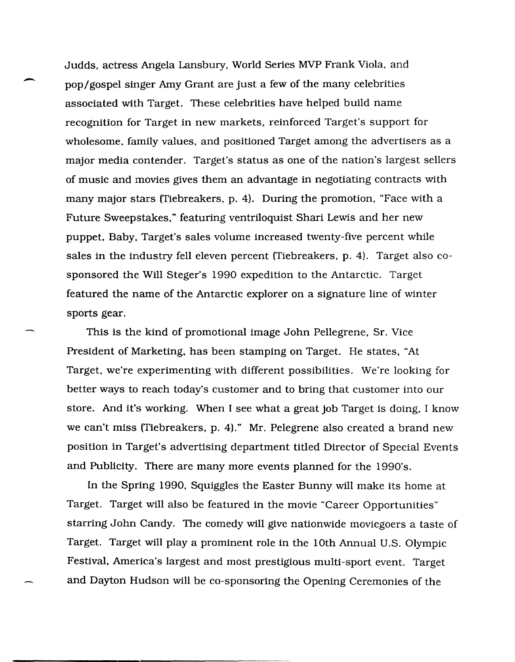- Judds, actress Angela Lansbury, World Series MVP Frank Viola, and pop/gospel singer Amy Grant are just a few of the many celebrities associated with Target. These celebrities have helped build name recognition for Target in new markets, reinforced Target's support for wholesome, family values, and positioned Target among the advertisers as a major media contender. Target's status as one of the nation's largest sellers of music and movies gives them an advantage in negotiating contracts with many major stars (Tiebreakers, p. 4). During the promotion, "Face with a Future Sweepstakes," featuring ventriloquist Shari Lewis and her new puppet, Baby, Target's sales volume increased twenty-five percent while sales in the industry fell eleven percent (Tiebreakers, p. 4). Target also cosponsored the Will Steger's 1990 expedition to the Antarctic. Target featured the name of the Antarctic explorer on a Signature line of winter sports gear.

This is the kind of promotional image John Pellegrene, Sr. Vice President of Marketing, has been stamping on Target. He states, "At Target, we're experimenting with different possibilities. We're looking for better ways to reach today's customer and to bring that customer into our store. And it's working. When I see what a great job Target is doing, I know we can't miss (Tiebreakers, p. 4)." Mr. Pelegrene also created a brand new position in Target's advertising department titled Director of Special Events and Publicity. There are many more events planned for the 1990's.

In the Spring 1990, Squiggles the Easter Bunny will make its home at Target. Target will also be featured in the movie "Career Opportunities" starring John Candy. The comedy will give nationwide moviegoers a taste of Target. Target will play a prominent role in the 10th Annual U.S. Olympic Festival, America's largest and most prestigious multi-sport event. Target and Dayton Hudson will be co-sponsoring the Opening Ceremonies of the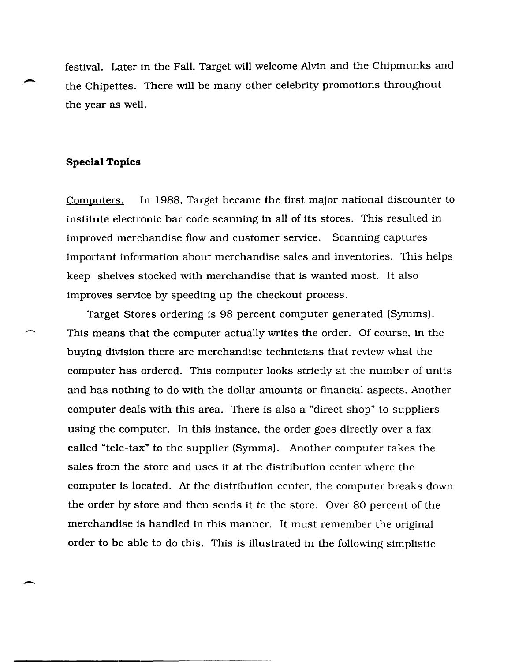festival. Later in the Fall, Target will welcome Alvin and the Chipmunks and the Chipettes. There will be many other celebrity promotions throughout the year as well.

#### **Special Topics**

-

-

Computers. In 1988, Target became the first major national discounter to institute electronic bar code scanning in all of its stores. This resulted in improved merchandise flow and customer service. Scanning captures important information about merchandise sales and inventories. This helps keep shelves stocked with merchandise that is wanted most. It also improves service by speeding up the checkout process.

Target Stores ordering is 98 percent computer generated (Symms). This means that the computer actually writes the order. Of course, in the buying division there are merchandise technicians that review what the computer has ordered. This computer looks strictly at the number of units and has nothing to do with the dollar amounts or financial aspects. Another computer deals with this area. There is also a "direct shop" to suppliers using the computer. In this instance, the order goes directly over a fax called "tele-tax" to the supplier (Symms). Another computer takes the sales from the store and uses it at the distribution center where the computer is located. At the distribution center, the computer breaks down the order by store and then sends it to the store. Over 80 percent of the merchandise is handled in this manner. It must remember the original order to be able to do this. This is illustrated in the following simplistic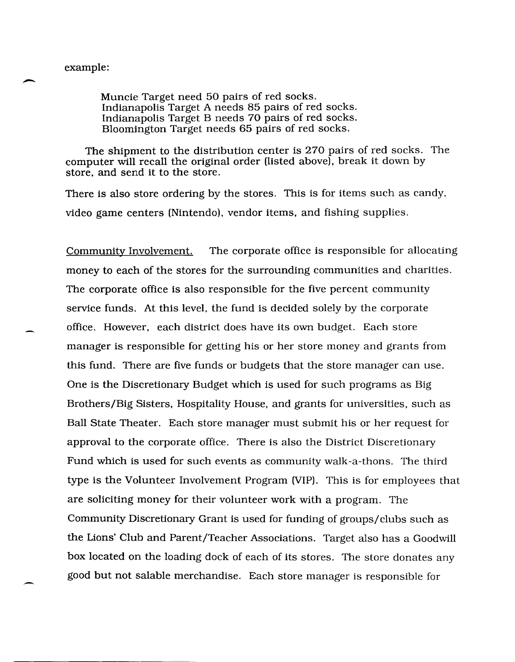Muncie Target need 50 pairs of red socks. Indianapolis Target A needs 85 pairs of red socks. Indianapolis Target B needs 70 pairs of red socks. Bloomington Target needs 65 pairs of red socks.

The shipment to the distribution center is 270 pairs of red socks. The computer will recall the original order (listed above), break it down by store, and send it to the store.

There is also store ordering by the stores. This is for items such as candy. video game centers (Nintendol, vendor items, and fishing supplies.

Community Involvement. The corporate office is responsible for allocating money to each of the stores for the surrounding communities and charities. The corporate office is also responsible for the five percent community service funds. At this level, the fund is decided solely by the corporate office. However. each district does have its own budget. Each store manager is responsible for getting his or her store money and grants from this fund. There are five funds or budgets that the store manager can use. One is the Discretionary Budget which is used for such programs as Big Brothers/Big Sisters, Hospitality House, and grants for universities, such as Ball State Theater. Each store manager must submit his or her request for approval to the corporate office. There is also the District Discretionary Fund which is used for such events as community walk-a-thons. The third type is the Volunteer Involvement Program (VIP). This is for employees that are soliciting money for their volunteer work with a program. The Community Discretionary Grant is used for funding of groups/ clubs such as the Lions' Club and Parent/Teacher Associations. Target also has a Goodwill box located on the loading dock of each of its stores. The store donates any good but not salable merchandise. Each store manager is responsible for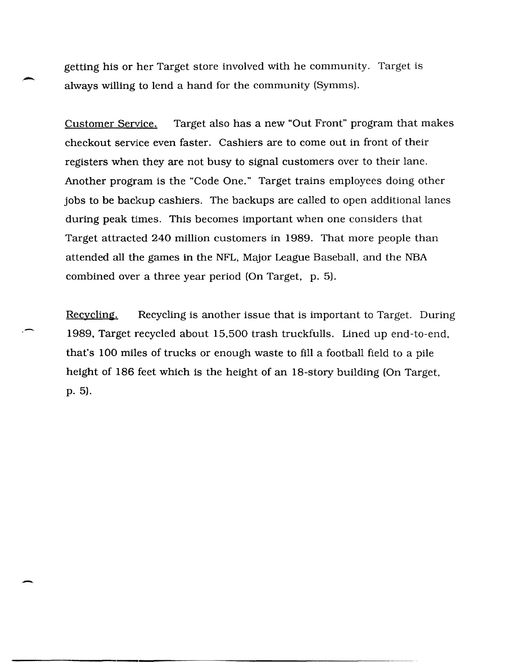getting his or her Target store involved with he community. Target is always willing to lend a hand for the community (Symms).

Customer Service. Target also has a new "Out Front" program that makes checkout service even faster. Cashiers are to come out in front of their registers when they are not busy to signal customers over to their lane. Another program is the "Code One." Target trains employees doing other jobs to be backup cashiers. The backups are called to open additional lanes during peak times. This becomes important when one considers that Target attracted 240 million customers in 1989. That more people than attended all the games in the NFL, Major League Baseball, and the NBA combined over a three year period (On Target, p. 5).

Recycling. Recycling is another issue that is important to Target. During 1989, Target recycled about 15,500 trash truckfulls. Lined up end-to-end. that's 100 miles of trucks or enough waste to fill a football field to a pile height of 186 feet which is the height of an 18-story building (On Target. p.5).

-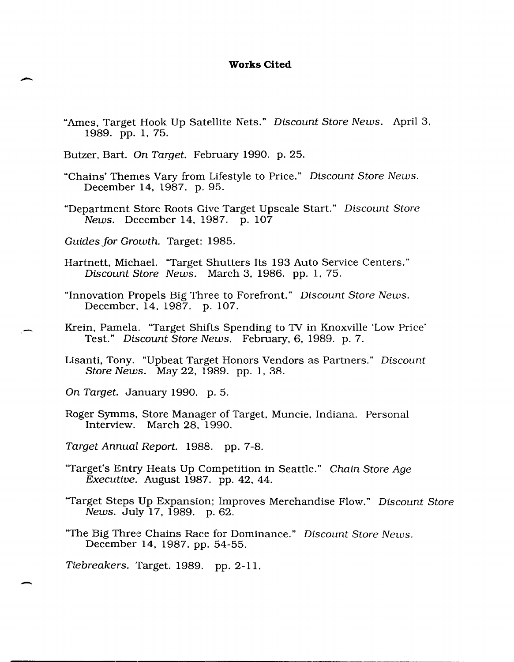#### **Works Cited**

- "Ames, Target Hook Up Satellite Nets." Discount Store News. April 3. 1989. pp. 1, 75.
- Butzer, Bart. On Target. February 1990. p. 25.
- "Chains' Themes Vary from Lifestyle to Price." Discount Store News. December 14, 1987. p. 95.
- "Department Store Roots Give Target Upscale Start." Discount Store News. December 14, 1987. p. 107
- Guides for Growth. Target: 1985.

 $\overline{\phantom{a}}$ 

-

- Hartnett, Michael. "Target Shutters Its 193 Auto Service Centers." Discount Store News. March 3, 1986. pp. 1, 75.
- "Innovation Propels Big Three to Forefront." Discount Store News. December., 14, 1987. p. 107.
- Krein, Pamela. "Target Shifts Spending to TV in Knoxville 'Low Price' Test." Discount Store News. February, 6, 1989. p.7.
- Lisanti, Tony. "Upbeat Target Honors Vendors as Partners." Discount Store News. May 22, 1989. pp. 1, 38.
- On Target. January 1990. p. 5.
- Roger Symms, Store Manager of Target, Muncie, Indiana. Personal Interview. March 28, 1990.
- Target Annual. Report. 1988. pp. 7-8.
- "Target's Entry Heats Up Competition in Seattle." Chain Store Age Executive. August 1987. pp. 42, 44.
- "Target Steps Up Expansion; Improves Merchandise Flow." Discount Store News. July 17, 1989. p. 62.
- "The Big Three Chains Race for Dominance." Discount Store News. December 14, 1987. pp. 54-55.
- Tiebreakers. Target. 1989. pp. 2-11.